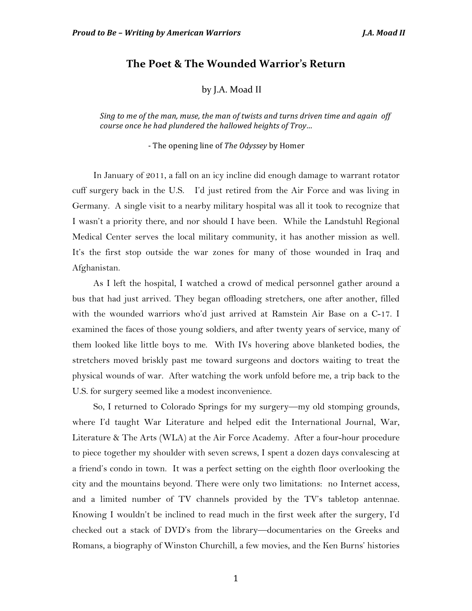## **The Poet & The Wounded Warrior's Return**

by J.A. Moad II

*Sing to me of the man, muse, the man of twists and turns driven time and again off course once he had plundered the hallowed heights of Troy...* 

- The opening line of *The Odyssey* by Homer

In January of 2011, a fall on an icy incline did enough damage to warrant rotator cuff surgery back in the U.S. I'd just retired from the Air Force and was living in Germany. A single visit to a nearby military hospital was all it took to recognize that I wasn't a priority there, and nor should I have been. While the Landstuhl Regional Medical Center serves the local military community, it has another mission as well. It's the first stop outside the war zones for many of those wounded in Iraq and Afghanistan.

As I left the hospital, I watched a crowd of medical personnel gather around a bus that had just arrived. They began offloading stretchers, one after another, filled with the wounded warriors who'd just arrived at Ramstein Air Base on a C-17. I examined the faces of those young soldiers, and after twenty years of service, many of them looked like little boys to me. With IVs hovering above blanketed bodies, the stretchers moved briskly past me toward surgeons and doctors waiting to treat the physical wounds of war. After watching the work unfold before me, a trip back to the U.S. for surgery seemed like a modest inconvenience.

So, I returned to Colorado Springs for my surgery—my old stomping grounds, where I'd taught War Literature and helped edit the International Journal, War, Literature & The Arts (WLA) at the Air Force Academy. After a four-hour procedure to piece together my shoulder with seven screws, I spent a dozen days convalescing at a friend's condo in town. It was a perfect setting on the eighth floor overlooking the city and the mountains beyond. There were only two limitations: no Internet access, and a limited number of TV channels provided by the TV's tabletop antennae. Knowing I wouldn't be inclined to read much in the first week after the surgery, I'd checked out a stack of DVD's from the library—documentaries on the Greeks and Romans, a biography of Winston Churchill, a few movies, and the Ken Burns' histories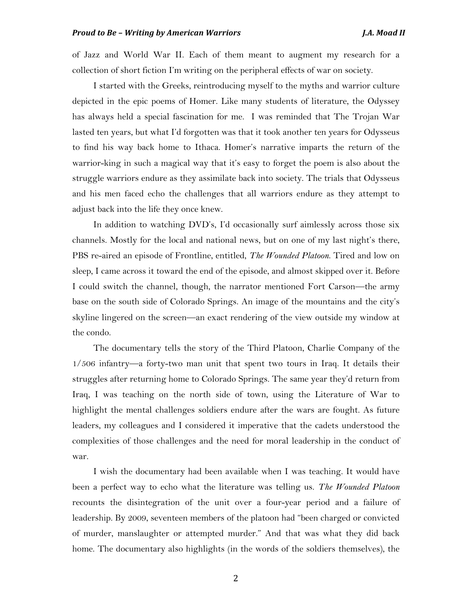## *Proud to Be – Writing by American Warriors J.A. Moad II*

of Jazz and World War II. Each of them meant to augment my research for a collection of short fiction I'm writing on the peripheral effects of war on society.

I started with the Greeks, reintroducing myself to the myths and warrior culture depicted in the epic poems of Homer. Like many students of literature, the Odyssey has always held a special fascination for me. I was reminded that The Trojan War lasted ten years, but what I'd forgotten was that it took another ten years for Odysseus to find his way back home to Ithaca. Homer's narrative imparts the return of the warrior-king in such a magical way that it's easy to forget the poem is also about the struggle warriors endure as they assimilate back into society. The trials that Odysseus and his men faced echo the challenges that all warriors endure as they attempt to adjust back into the life they once knew.

In addition to watching DVD's, I'd occasionally surf aimlessly across those six channels. Mostly for the local and national news, but on one of my last night's there, PBS re-aired an episode of Frontline, entitled, *The Wounded Platoon*. Tired and low on sleep, I came across it toward the end of the episode, and almost skipped over it. Before I could switch the channel, though, the narrator mentioned Fort Carson—the army base on the south side of Colorado Springs. An image of the mountains and the city's skyline lingered on the screen—an exact rendering of the view outside my window at the condo.

The documentary tells the story of the Third Platoon, Charlie Company of the 1/506 infantry—a forty-two man unit that spent two tours in Iraq. It details their struggles after returning home to Colorado Springs. The same year they'd return from Iraq, I was teaching on the north side of town, using the Literature of War to highlight the mental challenges soldiers endure after the wars are fought. As future leaders, my colleagues and I considered it imperative that the cadets understood the complexities of those challenges and the need for moral leadership in the conduct of war.

I wish the documentary had been available when I was teaching. It would have been a perfect way to echo what the literature was telling us. *The Wounded Platoon* recounts the disintegration of the unit over a four-year period and a failure of leadership. By 2009, seventeen members of the platoon had "been charged or convicted of murder, manslaughter or attempted murder." And that was what they did back home. The documentary also highlights (in the words of the soldiers themselves), the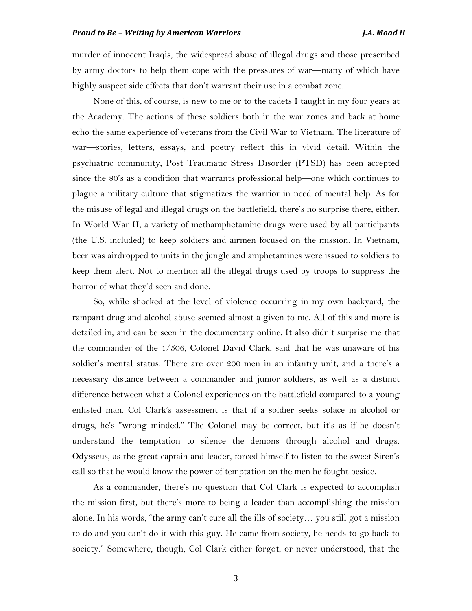## *Proud to Be – Writing by American Warriors J.A. Moad II*

murder of innocent Iraqis, the widespread abuse of illegal drugs and those prescribed by army doctors to help them cope with the pressures of war—many of which have highly suspect side effects that don't warrant their use in a combat zone.

None of this, of course, is new to me or to the cadets I taught in my four years at the Academy. The actions of these soldiers both in the war zones and back at home echo the same experience of veterans from the Civil War to Vietnam. The literature of war—stories, letters, essays, and poetry reflect this in vivid detail. Within the psychiatric community, Post Traumatic Stress Disorder (PTSD) has been accepted since the 80's as a condition that warrants professional help—one which continues to plague a military culture that stigmatizes the warrior in need of mental help. As for the misuse of legal and illegal drugs on the battlefield, there's no surprise there, either. In World War II, a variety of methamphetamine drugs were used by all participants (the U.S. included) to keep soldiers and airmen focused on the mission. In Vietnam, beer was airdropped to units in the jungle and amphetamines were issued to soldiers to keep them alert. Not to mention all the illegal drugs used by troops to suppress the horror of what they'd seen and done.

So, while shocked at the level of violence occurring in my own backyard, the rampant drug and alcohol abuse seemed almost a given to me. All of this and more is detailed in, and can be seen in the documentary online. It also didn't surprise me that the commander of the 1/506, Colonel David Clark, said that he was unaware of his soldier's mental status. There are over 200 men in an infantry unit, and a there's a necessary distance between a commander and junior soldiers, as well as a distinct difference between what a Colonel experiences on the battlefield compared to a young enlisted man. Col Clark's assessment is that if a soldier seeks solace in alcohol or drugs, he's "wrong minded." The Colonel may be correct, but it's as if he doesn't understand the temptation to silence the demons through alcohol and drugs. Odysseus, as the great captain and leader, forced himself to listen to the sweet Siren's call so that he would know the power of temptation on the men he fought beside.

As a commander, there's no question that Col Clark is expected to accomplish the mission first, but there's more to being a leader than accomplishing the mission alone. In his words, "the army can't cure all the ills of society… you still got a mission to do and you can't do it with this guy. He came from society, he needs to go back to society." Somewhere, though, Col Clark either forgot, or never understood, that the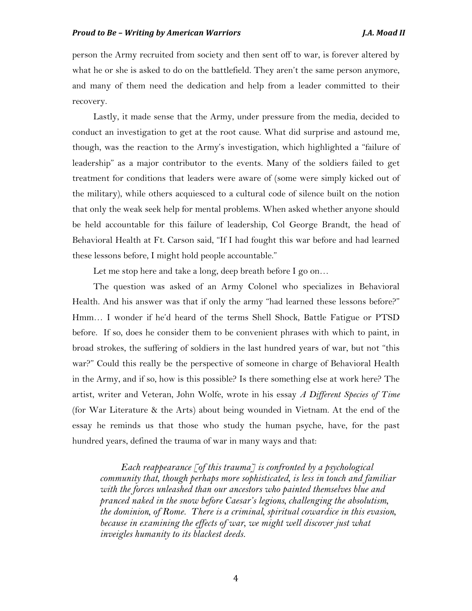person the Army recruited from society and then sent off to war, is forever altered by what he or she is asked to do on the battlefield. They aren't the same person anymore, and many of them need the dedication and help from a leader committed to their recovery.

Lastly, it made sense that the Army, under pressure from the media, decided to conduct an investigation to get at the root cause. What did surprise and astound me, though, was the reaction to the Army's investigation, which highlighted a "failure of leadership" as a major contributor to the events. Many of the soldiers failed to get treatment for conditions that leaders were aware of (some were simply kicked out of the military), while others acquiesced to a cultural code of silence built on the notion that only the weak seek help for mental problems. When asked whether anyone should be held accountable for this failure of leadership, Col George Brandt, the head of Behavioral Health at Ft. Carson said, "If I had fought this war before and had learned these lessons before, I might hold people accountable."

Let me stop here and take a long, deep breath before I go on...

The question was asked of an Army Colonel who specializes in Behavioral Health. And his answer was that if only the army "had learned these lessons before?" Hmm… I wonder if he'd heard of the terms Shell Shock, Battle Fatigue or PTSD before. If so, does he consider them to be convenient phrases with which to paint, in broad strokes, the suffering of soldiers in the last hundred years of war, but not "this war?" Could this really be the perspective of someone in charge of Behavioral Health in the Army, and if so, how is this possible? Is there something else at work here? The artist, writer and Veteran, John Wolfe, wrote in his essay *A Different Species of Time* (for War Literature & the Arts) about being wounded in Vietnam. At the end of the essay he reminds us that those who study the human psyche, have, for the past hundred years, defined the trauma of war in many ways and that:

*Each reappearance [of this trauma] is confronted by a psychological community that, though perhaps more sophisticated, is less in touch and familiar with the forces unleashed than our ancestors who painted themselves blue and pranced naked in the snow before Caesar's legions, challenging the absolutism, the dominion, of Rome. There is a criminal, spiritual cowardice in this evasion,*  because in examining the effects of war, we might well discover just what *inveigles humanity to its blackest deeds.*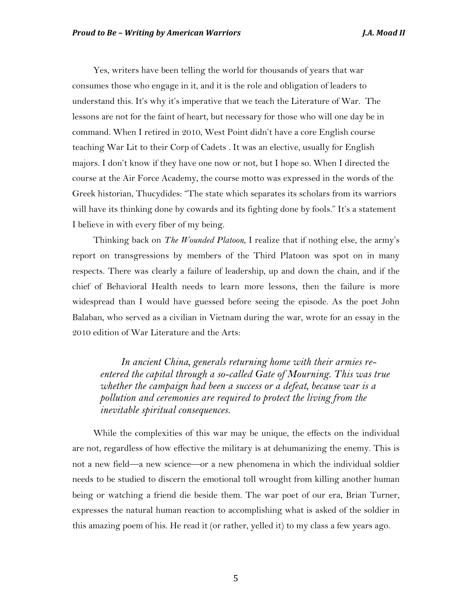Yes, writers have been telling the world for thousands of years that war consumes those who engage in it, and it is the role and obligation of leaders to understand this. It's why it's imperative that we teach the Literature of War. The lessons are not for the faint of heart, but necessary for those who will one day be in command. When I retired in 2010, West Point didn't have a core English course teaching War Lit to their Corp of Cadets . It was an elective, usually for English majors. I don't know if they have one now or not, but I hope so. When I directed the course at the Air Force Academy, the course motto was expressed in the words of the Greek historian, Thucydides: "The state which separates its scholars from its warriors will have its thinking done by cowards and its fighting done by fools." It's a statement I believe in with every fiber of my being.

Thinking back on *The Wounded Platoon*, I realize that if nothing else, the army's report on transgressions by members of the Third Platoon was spot on in many respects. There was clearly a failure of leadership, up and down the chain, and if the chief of Behavioral Health needs to learn more lessons, then the failure is more widespread than I would have guessed before seeing the episode. As the poet John Balaban, who served as a civilian in Vietnam during the war, wrote for an essay in the 2010 edition of War Literature and the Arts:

*In ancient China, generals returning home with their armies reentered the capital through a so-called Gate of Mourning. This was true whether the campaign had been a success or a defeat, because war is a pollution and ceremonies are required to protect the living from the inevitable spiritual consequences.*

While the complexities of this war may be unique, the effects on the individual are not, regardless of how effective the military is at dehumanizing the enemy. This is not a new field—a new science—or a new phenomena in which the individual soldier needs to be studied to discern the emotional toll wrought from killing another human being or watching a friend die beside them. The war poet of our era, Brian Turner, expresses the natural human reaction to accomplishing what is asked of the soldier in this amazing poem of his. He read it (or rather, yelled it) to my class a few years ago.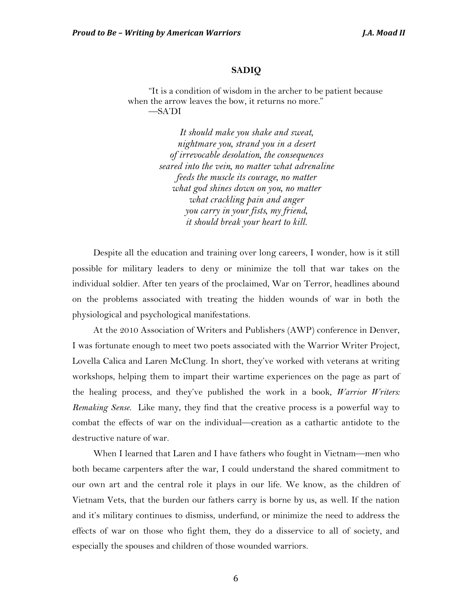## **SADIQ**

"It is a condition of wisdom in the archer to be patient because when the arrow leaves the bow, it returns no more." —SA'DI

> *It should make you shake and sweat, nightmare you, strand you in a desert of irrevocable desolation, the consequences seared into the vein, no matter what adrenaline feeds the muscle its courage, no matter what god shines down on you, no matter what crackling pain and anger you carry in your fists, my friend, it should break your heart to kill.*

Despite all the education and training over long careers, I wonder, how is it still possible for military leaders to deny or minimize the toll that war takes on the individual soldier. After ten years of the proclaimed, War on Terror, headlines abound on the problems associated with treating the hidden wounds of war in both the physiological and psychological manifestations.

At the 2010 Association of Writers and Publishers (AWP) conference in Denver, I was fortunate enough to meet two poets associated with the Warrior Writer Project, Lovella Calica and Laren McClung. In short, they've worked with veterans at writing workshops, helping them to impart their wartime experiences on the page as part of the healing process, and they've published the work in a book, *Warrior Writers: Remaking Sense*. Like many, they find that the creative process is a powerful way to combat the effects of war on the individual—creation as a cathartic antidote to the destructive nature of war.

When I learned that Laren and I have fathers who fought in Vietnam—men who both became carpenters after the war, I could understand the shared commitment to our own art and the central role it plays in our life. We know, as the children of Vietnam Vets, that the burden our fathers carry is borne by us, as well. If the nation and it's military continues to dismiss, underfund, or minimize the need to address the effects of war on those who fight them, they do a disservice to all of society, and especially the spouses and children of those wounded warriors.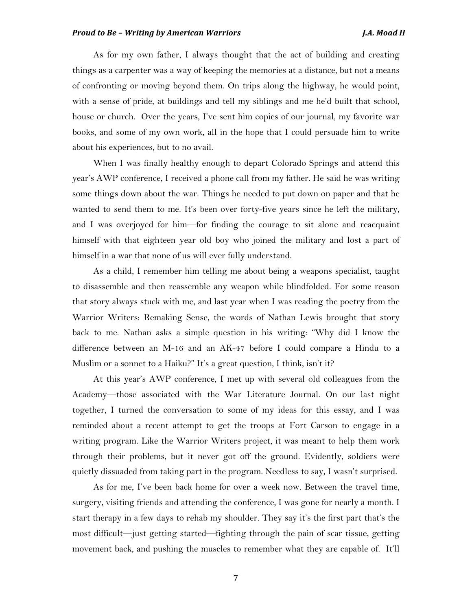As for my own father, I always thought that the act of building and creating things as a carpenter was a way of keeping the memories at a distance, but not a means of confronting or moving beyond them. On trips along the highway, he would point, with a sense of pride, at buildings and tell my siblings and me he'd built that school, house or church. Over the years, I've sent him copies of our journal, my favorite war books, and some of my own work, all in the hope that I could persuade him to write about his experiences, but to no avail.

When I was finally healthy enough to depart Colorado Springs and attend this year's AWP conference, I received a phone call from my father. He said he was writing some things down about the war. Things he needed to put down on paper and that he wanted to send them to me. It's been over forty-five years since he left the military, and I was overjoyed for him—for finding the courage to sit alone and reacquaint himself with that eighteen year old boy who joined the military and lost a part of himself in a war that none of us will ever fully understand.

As a child, I remember him telling me about being a weapons specialist, taught to disassemble and then reassemble any weapon while blindfolded. For some reason that story always stuck with me, and last year when I was reading the poetry from the Warrior Writers: Remaking Sense, the words of Nathan Lewis brought that story back to me. Nathan asks a simple question in his writing: "Why did I know the difference between an M-16 and an AK-47 before I could compare a Hindu to a Muslim or a sonnet to a Haiku?" It's a great question, I think, isn't it?

At this year's AWP conference, I met up with several old colleagues from the Academy—those associated with the War Literature Journal. On our last night together, I turned the conversation to some of my ideas for this essay, and I was reminded about a recent attempt to get the troops at Fort Carson to engage in a writing program. Like the Warrior Writers project, it was meant to help them work through their problems, but it never got off the ground. Evidently, soldiers were quietly dissuaded from taking part in the program. Needless to say, I wasn't surprised.

As for me, I've been back home for over a week now. Between the travel time, surgery, visiting friends and attending the conference, I was gone for nearly a month. I start therapy in a few days to rehab my shoulder. They say it's the first part that's the most difficult—just getting started—fighting through the pain of scar tissue, getting movement back, and pushing the muscles to remember what they are capable of. It'll